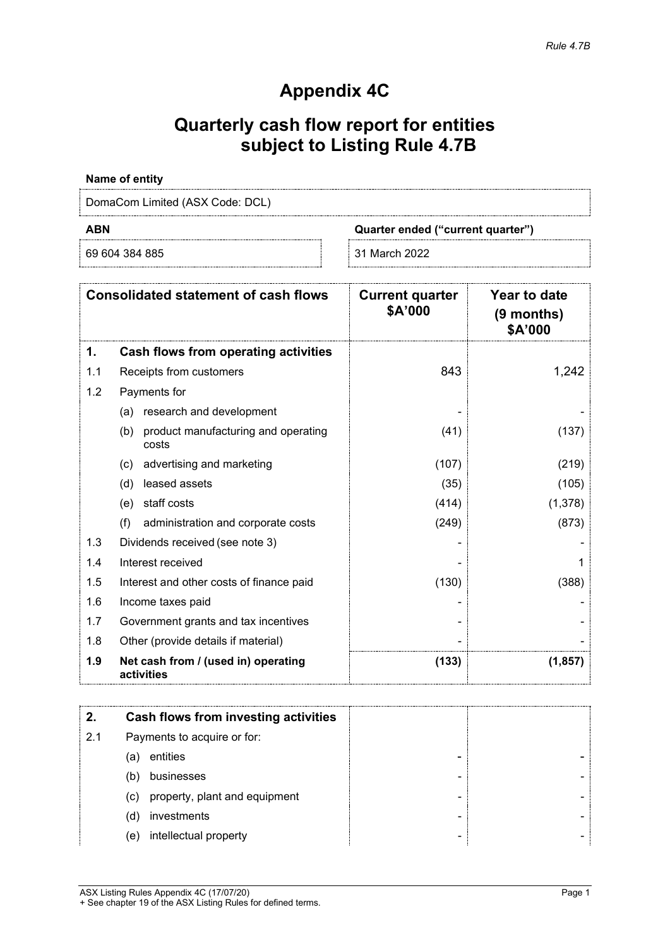# **Appendix 4C**

# **Quarterly cash flow report for entities subject to Listing Rule 4.7B**

## **Name of entity**

DomaCom Limited (ASX Code: DCL)

69 604 384 885 31 March 2022

**ABN Quarter ended ("current quarter")**

|     | <b>Consolidated statement of cash flows</b>         | <b>Current quarter</b><br>\$A'000 | Year to date<br>(9 months)<br>\$A'000 |
|-----|-----------------------------------------------------|-----------------------------------|---------------------------------------|
| 1.  | Cash flows from operating activities                |                                   |                                       |
| 1.1 | Receipts from customers                             | 843                               | 1,242                                 |
| 1.2 | Payments for                                        |                                   |                                       |
|     | research and development<br>(a)                     |                                   |                                       |
|     | product manufacturing and operating<br>(b)<br>costs | (41)                              | (137)                                 |
|     | advertising and marketing<br>(c)                    | (107)                             | (219)                                 |
|     | leased assets<br>(d)                                | (35)                              | (105)                                 |
|     | staff costs<br>(e)                                  | (414)                             | (1,378)                               |
|     | (f)<br>administration and corporate costs           | (249)                             | (873)                                 |
| 1.3 | Dividends received (see note 3)                     |                                   |                                       |
| 1.4 | Interest received                                   |                                   |                                       |
| 1.5 | Interest and other costs of finance paid            | (130)                             | (388)                                 |
| 1.6 | Income taxes paid                                   |                                   |                                       |
| 1.7 | Government grants and tax incentives                |                                   |                                       |
| 1.8 | Other (provide details if material)                 |                                   |                                       |
| 1.9 | Net cash from / (used in) operating<br>activities   | (133)                             | (1, 857)                              |

|     | Cash flows from investing activities |  |
|-----|--------------------------------------|--|
| 2.1 | Payments to acquire or for:          |  |
| (a) | entities                             |  |
| (b) | businesses                           |  |
| (c) | property, plant and equipment        |  |
| (d) | investments                          |  |
| (e) | intellectual property                |  |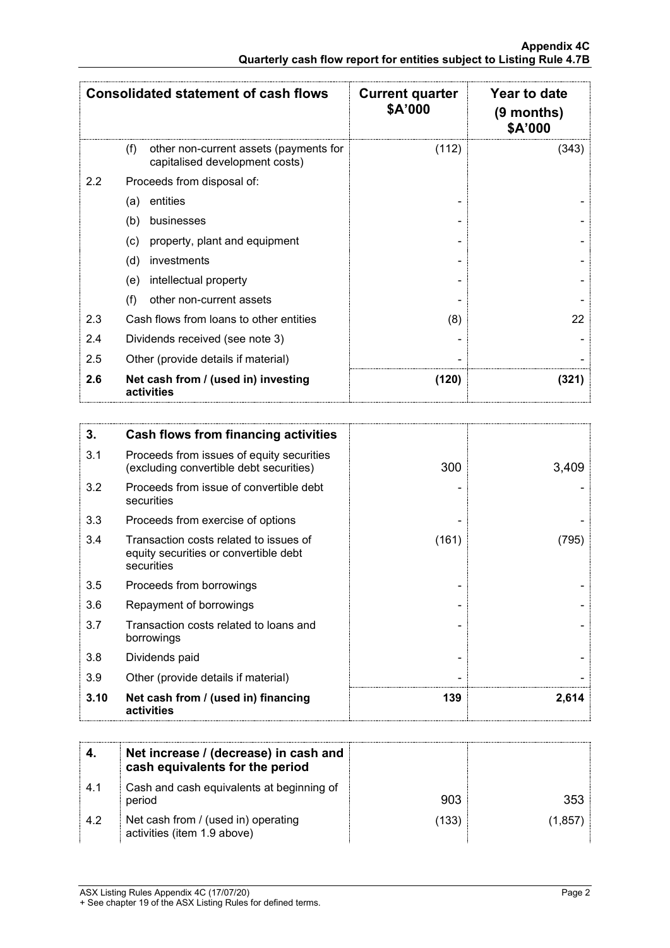|     | <b>Consolidated statement of cash flows</b>                                     | <b>Current quarter</b><br>\$A'000 | Year to date<br>(9 months)<br>\$A'000 |
|-----|---------------------------------------------------------------------------------|-----------------------------------|---------------------------------------|
|     | other non-current assets (payments for<br>(f)<br>capitalised development costs) | (112)                             | (343)                                 |
| 2.2 | Proceeds from disposal of:                                                      |                                   |                                       |
|     | entities<br>(a)                                                                 |                                   |                                       |
|     | (b)<br>businesses                                                               |                                   |                                       |
|     | property, plant and equipment<br>(c)                                            |                                   |                                       |
|     | (d)<br>investments                                                              |                                   |                                       |
|     | intellectual property<br>(e)                                                    |                                   |                                       |
|     | (f)<br>other non-current assets                                                 |                                   |                                       |
| 2.3 | Cash flows from loans to other entities                                         | (8)                               | 22                                    |
| 2.4 | Dividends received (see note 3)                                                 |                                   |                                       |
| 2.5 | Other (provide details if material)                                             |                                   |                                       |
| 2.6 | Net cash from / (used in) investing<br>activities                               | (120)                             | (321)                                 |

| 3.   | Cash flows from financing activities                                                          |       |       |
|------|-----------------------------------------------------------------------------------------------|-------|-------|
| 3.1  | Proceeds from issues of equity securities<br>(excluding convertible debt securities)          | 300   | 3,409 |
| 3.2  | Proceeds from issue of convertible debt<br>securities                                         |       |       |
| 3.3  | Proceeds from exercise of options                                                             |       |       |
| 3.4  | Transaction costs related to issues of<br>equity securities or convertible debt<br>securities | (161) | (795) |
| 3.5  | Proceeds from borrowings                                                                      |       |       |
| 3.6  | Repayment of borrowings                                                                       |       |       |
| 3.7  | Transaction costs related to loans and<br>borrowings                                          |       |       |
| 3.8  | Dividends paid                                                                                |       |       |
| 3.9  | Other (provide details if material)                                                           |       |       |
| 3.10 | Net cash from / (used in) financing<br>activities                                             | 139   | 2,614 |

|      | Net increase / (decrease) in cash and<br>cash equivalents for the period |      |       |
|------|--------------------------------------------------------------------------|------|-------|
| -4.1 | Cash and cash equivalents at beginning of<br>period                      | 903  | 353.  |
| 4.2  | Net cash from / (used in) operating<br>activities (item 1.9 above)       | (133 | 1.857 |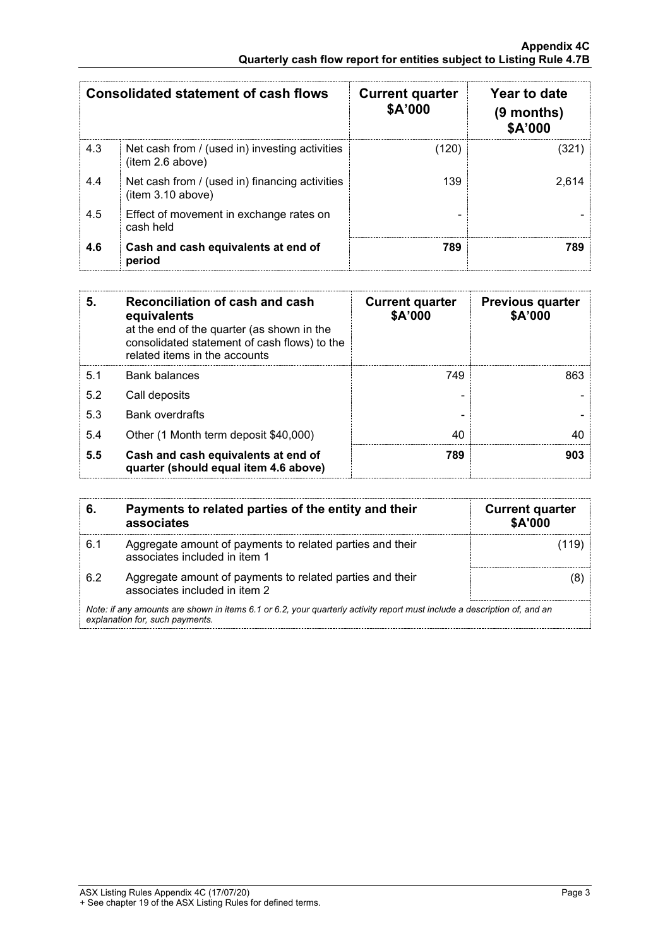|     | <b>Consolidated statement of cash flows</b>                         | <b>Current quarter</b><br>\$A'000 | Year to date<br>$(9$ months)<br><b>\$A'000</b> |
|-----|---------------------------------------------------------------------|-----------------------------------|------------------------------------------------|
| 4.3 | Net cash from / (used in) investing activities<br>(item 2.6 above)  | (120)                             |                                                |
| 4.4 | Net cash from / (used in) financing activities<br>(item 3.10 above) | 139                               | 2.614                                          |
| 4.5 | Effect of movement in exchange rates on<br>cash held                |                                   |                                                |
| 4.6 | Cash and cash equivalents at end of<br>period                       | 789                               |                                                |

| 5.  | Reconciliation of cash and cash<br>equivalents<br>at the end of the quarter (as shown in the<br>consolidated statement of cash flows) to the<br>related items in the accounts | <b>Current quarter</b><br>\$A'000 | <b>Previous quarter</b><br>\$A'000 |
|-----|-------------------------------------------------------------------------------------------------------------------------------------------------------------------------------|-----------------------------------|------------------------------------|
| 5.1 | <b>Bank balances</b>                                                                                                                                                          | 749                               | 863                                |
| 5.2 | Call deposits                                                                                                                                                                 |                                   |                                    |
| 5.3 | <b>Bank overdrafts</b>                                                                                                                                                        |                                   |                                    |
| 5.4 | Other (1 Month term deposit \$40,000)                                                                                                                                         | 40                                |                                    |
| 5.5 | Cash and cash equivalents at end of<br>quarter (should equal item 4.6 above)                                                                                                  | 789                               | 903                                |

| 6.  | Payments to related parties of the entity and their<br>associates                                                                                           | <b>Current quarter</b><br><b>\$A'000</b> |
|-----|-------------------------------------------------------------------------------------------------------------------------------------------------------------|------------------------------------------|
| 6.1 | Aggregate amount of payments to related parties and their<br>associates included in item 1                                                                  |                                          |
| 62  | Aggregate amount of payments to related parties and their<br>associates included in item 2                                                                  |                                          |
|     | Note: if any amounts are shown in items 6.1 or 6.2, your quarterly activity report must include a description of, and an<br>explanation for, such payments. |                                          |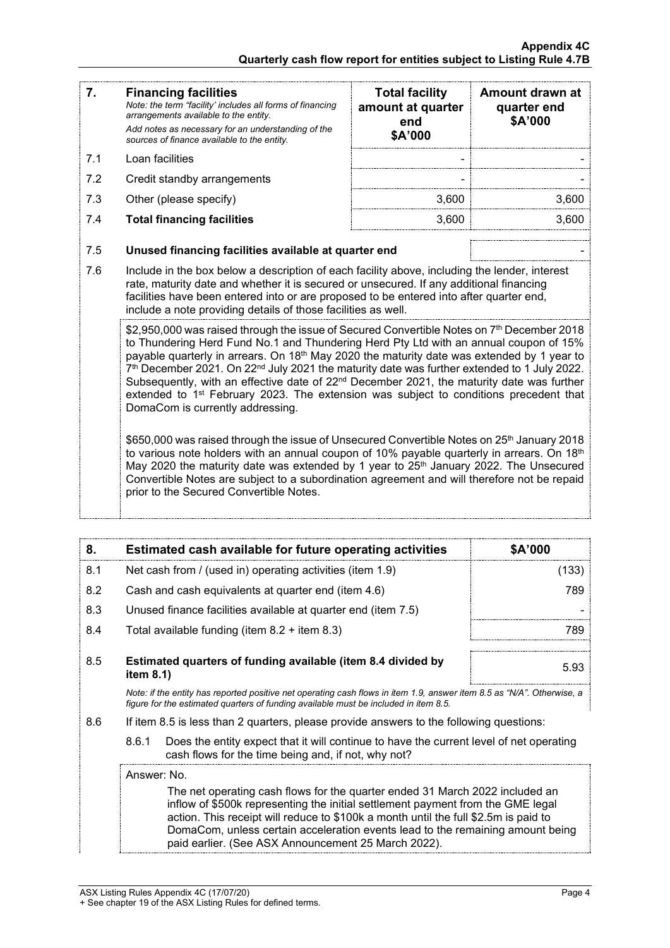| 7.  | <b>Financing facilities</b><br>Note: the term "facility' includes all forms of financing<br>arrangements available to the entity.<br>Add notes as necessary for an understanding of the<br>sources of finance available to the entity.                                                                                                                                                                                                                                                                                                                                                                                                                                                                                                                                                                                                                                                     | <b>Total facility</b><br>amount at quarter<br>end<br>\$A'000 | Amount drawn at<br>quarter end<br>\$A'000 |
|-----|--------------------------------------------------------------------------------------------------------------------------------------------------------------------------------------------------------------------------------------------------------------------------------------------------------------------------------------------------------------------------------------------------------------------------------------------------------------------------------------------------------------------------------------------------------------------------------------------------------------------------------------------------------------------------------------------------------------------------------------------------------------------------------------------------------------------------------------------------------------------------------------------|--------------------------------------------------------------|-------------------------------------------|
| 7.1 | Loan facilities                                                                                                                                                                                                                                                                                                                                                                                                                                                                                                                                                                                                                                                                                                                                                                                                                                                                            |                                                              |                                           |
| 7.2 | Credit standby arrangements                                                                                                                                                                                                                                                                                                                                                                                                                                                                                                                                                                                                                                                                                                                                                                                                                                                                |                                                              |                                           |
| 7.3 | Other (please specify)                                                                                                                                                                                                                                                                                                                                                                                                                                                                                                                                                                                                                                                                                                                                                                                                                                                                     | 3,600                                                        | 3,600                                     |
| 7.4 | <b>Total financing facilities</b>                                                                                                                                                                                                                                                                                                                                                                                                                                                                                                                                                                                                                                                                                                                                                                                                                                                          | 3,600                                                        | 3,600                                     |
| 7.5 | Unused financing facilities available at quarter end                                                                                                                                                                                                                                                                                                                                                                                                                                                                                                                                                                                                                                                                                                                                                                                                                                       |                                                              |                                           |
| 7.6 | Include in the box below a description of each facility above, including the lender, interest<br>rate, maturity date and whether it is secured or unsecured. If any additional financing<br>facilities have been entered into or are proposed to be entered into after quarter end,<br>include a note providing details of those facilities as well.                                                                                                                                                                                                                                                                                                                                                                                                                                                                                                                                       |                                                              |                                           |
|     | \$2,950,000 was raised through the issue of Secured Convertible Notes on 7 <sup>th</sup> December 2018<br>to Thundering Herd Fund No.1 and Thundering Herd Pty Ltd with an annual coupon of 15%<br>payable quarterly in arrears. On 18 <sup>th</sup> May 2020 the maturity date was extended by 1 year to<br>7 <sup>th</sup> December 2021. On 22 <sup>nd</sup> July 2021 the maturity date was further extended to 1 July 2022.<br>Subsequently, with an effective date of 22 <sup>nd</sup> December 2021, the maturity date was further<br>extended to 1 <sup>st</sup> February 2023. The extension was subject to conditions precedent that<br>DomaCom is currently addressing.<br>\$650,000 was raised through the issue of Unsecured Convertible Notes on 25 <sup>th</sup> January 2018<br>to various note holders with an annual coupon of 10% payable quarterly in arrears. On 18th |                                                              |                                           |
|     | May 2020 the maturity date was extended by 1 year to 25 <sup>th</sup> January 2022. The Unsecured<br>Convertible Notes are subject to a subordination agreement and will therefore not be repaid<br>prior to the Secured Convertible Notes.                                                                                                                                                                                                                                                                                                                                                                                                                                                                                                                                                                                                                                                |                                                              |                                           |

| 8   | Estimated cash available for future operating activities                                                             | <b>SA'000</b> |
|-----|----------------------------------------------------------------------------------------------------------------------|---------------|
| 8.1 | Net cash from / (used in) operating activities (item 1.9)                                                            | 133           |
| 8.2 | Cash and cash equivalents at quarter end (item 4.6)                                                                  | 789           |
| 8.3 | Unused finance facilities available at quarter end (item 7.5)                                                        |               |
| 8.4 | Total available funding (item $8.2 +$ item $8.3$ )                                                                   |               |
| 8.5 | Estimated quarters of funding available (item 8.4 divided by<br>item $8.1$ )                                         | 5.93          |
|     | Note: if the entity has reported positive net operating cash flows in item 1.9 answer item 8.5 as "N/A" Otherwise, a |               |

*Note: if the entity has reported positive net operating cash flows in item 1.9, answer item 8.5 as "N/A". Otherwise, a figure for the estimated quarters of funding available must be included in item 8.5.*

- 8.6 If item 8.5 is less than 2 quarters, please provide answers to the following questions:
	- 8.6.1 Does the entity expect that it will continue to have the current level of net operating cash flows for the time being and, if not, why not?

### Answer: No.

The net operating cash flows for the quarter ended 31 March 2022 included an inflow of \$500k representing the initial settlement payment from the GME legal action. This receipt will reduce to \$100k a month until the full \$2.5m is paid to DomaCom, unless certain acceleration events lead to the remaining amount being paid earlier. (See ASX Announcement 25 March 2022).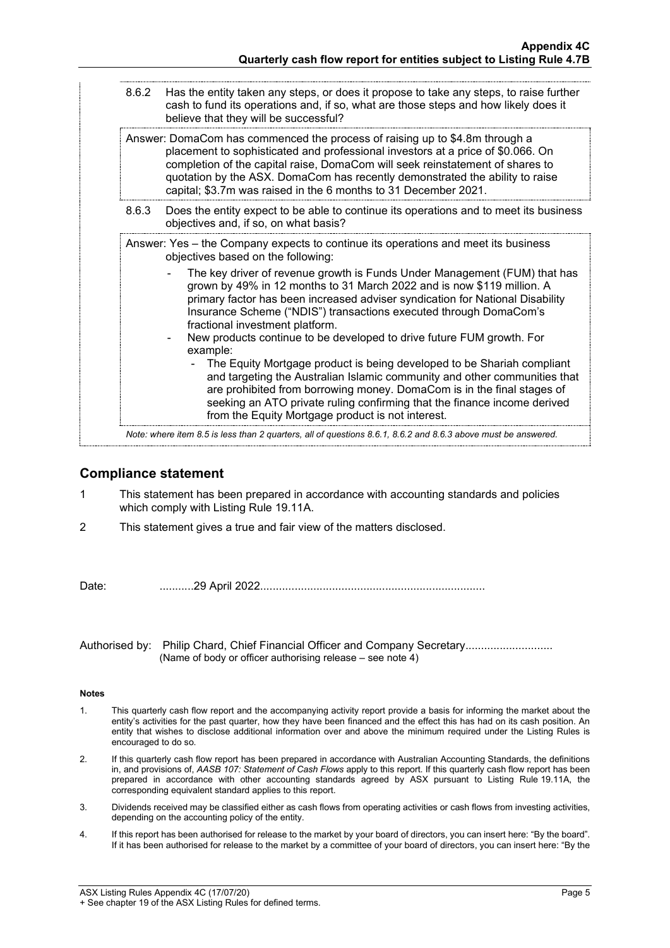| 8.6.3 | Answer: DomaCom has commenced the process of raising up to \$4.8m through a<br>placement to sophisticated and professional investors at a price of \$0.066. On<br>completion of the capital raise, DomaCom will seek reinstatement of shares to<br>quotation by the ASX. DomaCom has recently demonstrated the ability to raise<br>capital; \$3.7m was raised in the 6 months to 31 December 2021.<br>Does the entity expect to be able to continue its operations and to meet its business<br>objectives and, if so, on what basis?<br>Answer: Yes - the Company expects to continue its operations and meet its business                                                                                                                                                                                                                |
|-------|-------------------------------------------------------------------------------------------------------------------------------------------------------------------------------------------------------------------------------------------------------------------------------------------------------------------------------------------------------------------------------------------------------------------------------------------------------------------------------------------------------------------------------------------------------------------------------------------------------------------------------------------------------------------------------------------------------------------------------------------------------------------------------------------------------------------------------------------|
|       |                                                                                                                                                                                                                                                                                                                                                                                                                                                                                                                                                                                                                                                                                                                                                                                                                                           |
|       |                                                                                                                                                                                                                                                                                                                                                                                                                                                                                                                                                                                                                                                                                                                                                                                                                                           |
|       | objectives based on the following:<br>The key driver of revenue growth is Funds Under Management (FUM) that has<br>grown by 49% in 12 months to 31 March 2022 and is now \$119 million. A<br>primary factor has been increased adviser syndication for National Disability<br>Insurance Scheme ("NDIS") transactions executed through DomaCom's<br>fractional investment platform.<br>New products continue to be developed to drive future FUM growth. For<br>example:<br>The Equity Mortgage product is being developed to be Shariah compliant<br>and targeting the Australian Islamic community and other communities that<br>are prohibited from borrowing money. DomaCom is in the final stages of<br>seeking an ATO private ruling confirming that the finance income derived<br>from the Equity Mortgage product is not interest. |

## **Compliance statement**

- 1 This statement has been prepared in accordance with accounting standards and policies which comply with Listing Rule 19.11A.
- 2 This statement gives a true and fair view of the matters disclosed.

Date: ...........29 April 2022........................................................................

Authorised by: Philip Chard, Chief Financial Officer and Company Secretary.......................... (Name of body or officer authorising release – see note 4)

### **Notes**

- 1. This quarterly cash flow report and the accompanying activity report provide a basis for informing the market about the entity's activities for the past quarter, how they have been financed and the effect this has had on its cash position. An entity that wishes to disclose additional information over and above the minimum required under the Listing Rules is encouraged to do so.
- 2. If this quarterly cash flow report has been prepared in accordance with Australian Accounting Standards, the definitions in, and provisions of, *AASB 107: Statement of Cash Flows* apply to this report. If this quarterly cash flow report has been prepared in accordance with other accounting standards agreed by ASX pursuant to Listing Rule 19.11A, the corresponding equivalent standard applies to this report.
- 3. Dividends received may be classified either as cash flows from operating activities or cash flows from investing activities, depending on the accounting policy of the entity.
- 4. If this report has been authorised for release to the market by your board of directors, you can insert here: "By the board". If it has been authorised for release to the market by a committee of your board of directors, you can insert here: "By the